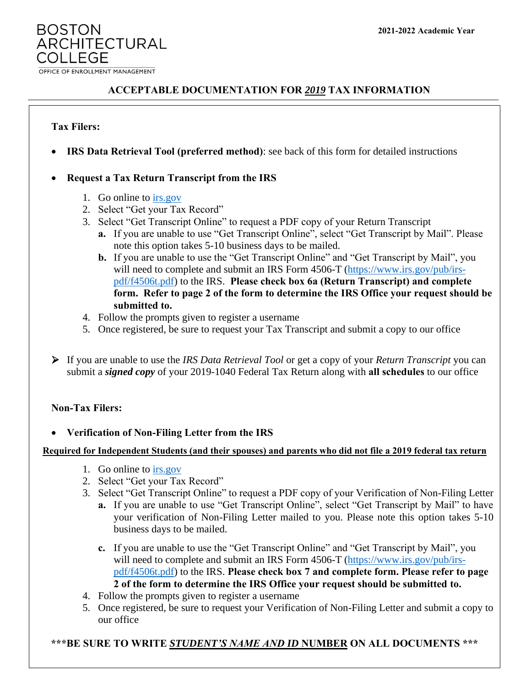**BOSTON ARCHITECTURAL** COLLEGE OFFICE OF ENROLLMENT MANAGEMENT

# **ACCEPTABLE DOCUMENTATION FOR** *2019* **TAX INFORMATION**

### **Tax Filers:**

• **IRS Data Retrieval Tool (preferred method)**: see back of this form for detailed instructions

### • **Request a Tax Return Transcript from the IRS**

- 1. Go online to [irs.gov](http://www.irs.gov/)
- 2. Select "Get your Tax Record"
- 3. Select "Get Transcript Online" to request a PDF copy of your Return Transcript
	- **a.** If you are unable to use "Get Transcript Online", select "Get Transcript by Mail". Please note this option takes 5-10 business days to be mailed.
	- **b.** If you are unable to use the "Get Transcript Online" and "Get Transcript by Mail", you will need to complete and submit an IRS Form 4506-T [\(https://www.irs.gov/pub/irs](https://www.irs.gov/pub/irs-pdf/f4506t.pdf)[pdf/f4506t.pdf\)](https://www.irs.gov/pub/irs-pdf/f4506t.pdf) to the IRS. **Please check box 6a (Return Transcript) and complete form. Refer to page 2 of the form to determine the IRS Office your request should be submitted to.**
- 4. Follow the prompts given to register a username
- 5. Once registered, be sure to request your Tax Transcript and submit a copy to our office
- ➢ If you are unable to use the *IRS Data Retrieval Tool* or get a copy of your *Return Transcript* you can submit a *signed copy* of your 2019-1040 Federal Tax Return along with **all schedules** to our office

#### **Non-Tax Filers:**

#### • **Verification of Non-Filing Letter from the IRS**

#### **Required for Independent Students (and their spouses) and parents who did not file a 2019 federal tax return**

- 1. Go online to [irs.gov](http://www.irs.gov/)
- 2. Select "Get your Tax Record"
- 3. Select "Get Transcript Online" to request a PDF copy of your Verification of Non-Filing Letter
	- **a.** If you are unable to use "Get Transcript Online", select "Get Transcript by Mail" to have your verification of Non-Filing Letter mailed to you. Please note this option takes 5-10 business days to be mailed.
	- **c.** If you are unable to use the "Get Transcript Online" and "Get Transcript by Mail", you will need to complete and submit an IRS Form 4506-T [\(https://www.irs.gov/pub/irs](https://www.irs.gov/pub/irs-pdf/f4506t.pdf)[pdf/f4506t.pdf\)](https://www.irs.gov/pub/irs-pdf/f4506t.pdf) to the IRS. **Please check box 7 and complete form. Please refer to page 2 of the form to determine the IRS Office your request should be submitted to.**
- 4. Follow the prompts given to register a username
- 5. Once registered, be sure to request your Verification of Non-Filing Letter and submit a copy to our office

## **\*\*\*BE SURE TO WRITE** *STUDENT'S NAME AND ID* **NUMBER ON ALL DOCUMENTS \*\*\***